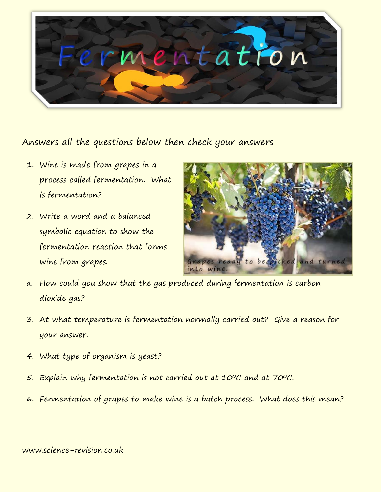

## Answers all the questions below then check your answers

- 1. Wine is made from grapes in a process called fermentation. What is fermentation?
- 2. Write a word and a balanced symbolic equation to show the fermentation reaction that forms wine from grapes.



- a. How could you show that the gas produced during fermentation is carbon dioxide gas?
- 3. At what temperature is fermentation normally carried out? Give a reason for your answer.
- 4. What type of organism is yeast?
- 5. Explain why fermentation is not carried out at 10°C and at 70°C.
- 6. Fermentation of grapes to make wine is a batch process. What does this mean?

## www.science-revision.co.uk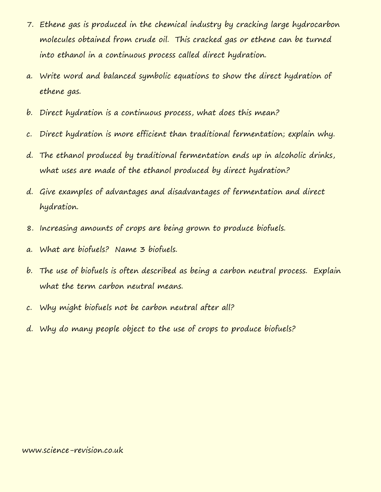- 7. Ethene gas is produced in the chemical industry by cracking large hydrocarbon molecules obtained from crude oil. This cracked gas or ethene can be turned into ethanol in a continuous process called direct hydration.
- a. Write word and balanced symbolic equations to show the direct hydration of ethene gas.
- b. Direct hydration is a continuous process, what does this mean?
- c. Direct hydration is more efficient than traditional fermentation; explain why.
- d. The ethanol produced by traditional fermentation ends up in alcoholic drinks, what uses are made of the ethanol produced by direct hydration?
- d. Give examples of advantages and disadvantages of fermentation and direct hydration.
- 8. Increasing amounts of crops are being grown to produce biofuels.
- a. What are biofuels? Name 3 biofuels.
- b. The use of biofuels is often described as being a carbon neutral process. Explain what the term carbon neutral means.
- c. Why might biofuels not be carbon neutral after all?
- d. Why do many people object to the use of crops to produce biofuels?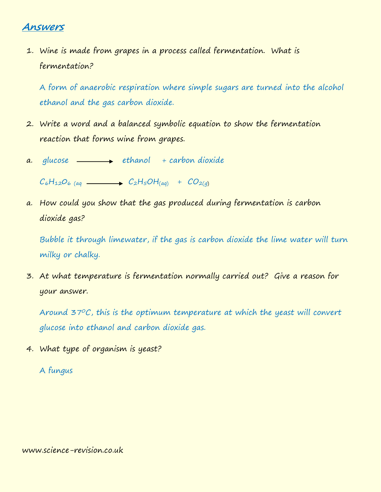## **Answers**

1. Wine is made from grapes in a process called fermentation. What is fermentation?

A form of anaerobic respiration where simple sugars are turned into the alcohol ethanol and the gas carbon dioxide.

- 2. Write a word and a balanced symbolic equation to show the fermentation reaction that forms wine from grapes.
- a. glucose  $\longrightarrow$  ethanol + carbon dioxide

 $C_6H_{12}O_{6}$  (aq  $\longrightarrow C_2H_5OH$ <sub>(aq)</sub> +  $CO_{2(q)}$ 

a. How could you show that the gas produced during fermentation is carbon dioxide gas?

Bubble it through limewater, if the gas is carbon dioxide the lime water will turn milky or chalky.

3. At what temperature is fermentation normally carried out? Give a reason for your answer.

Around  $37^{\circ}$ C, this is the optimum temperature at which the yeast will convert glucose into ethanol and carbon dioxide gas.

4. What type of organism is yeast?

A fungus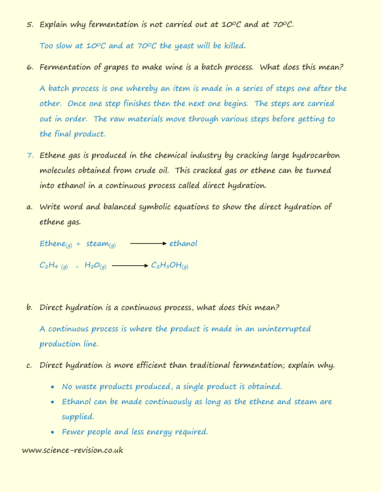5. Explain why fermentation is not carried out at 10°C and at 70°C.

Too slow at 10°C and at 70°C the yeast will be killed.

6. Fermentation of grapes to make wine is a batch process. What does this mean?

A batch process is one whereby an item is made in a series of steps one after the other. Once one step finishes then the next one begins. The steps are carried out in order. The raw materials move through various steps before getting to the final product.

- 7. Ethene gas is produced in the chemical industry by cracking large hydrocarbon molecules obtained from crude oil. This cracked gas or ethene can be turned into ethanol in a continuous process called direct hydration.
- a. Write word and balanced symbolic equations to show the direct hydration of ethene gas.

Ethene<sub>(g)</sub> + steam<sub>(g)</sub>  $\longrightarrow$  ethanol

 $C_2H_{4(g)} + H_2O_{(g)} \longrightarrow C_2H_5OH_{(g)}$ 

b. Direct hydration is a continuous process, what does this mean?

A continuous process is where the product is made in an uninterrupted production line.

- c. Direct hydration is more efficient than traditional fermentation; explain why.
	- No waste products produced, a single product is obtained.
	- Ethanol can be made continuously as long as the ethene and steam are supplied.
	- Fewer people and less energy required.

## www.science-revision.co.uk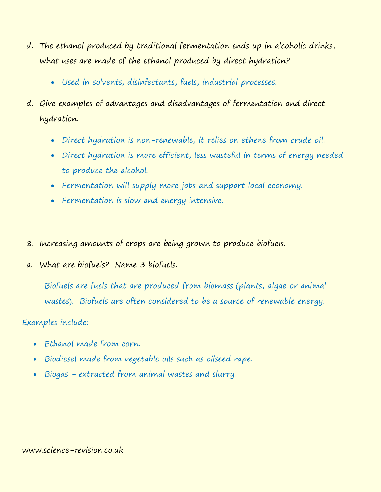- d. The ethanol produced by traditional fermentation ends up in alcoholic drinks, what uses are made of the ethanol produced by direct hydration?
	- Used in solvents, disinfectants, fuels, industrial processes.
- d. Give examples of advantages and disadvantages of fermentation and direct hydration.
	- Direct hydration is non-renewable, it relies on ethene from crude oil.
	- Direct hydration is more efficient, less wasteful in terms of energy needed to produce the alcohol.
	- Fermentation will supply more jobs and support local economy.
	- Fermentation is slow and energy intensive.
- 8. Increasing amounts of crops are being grown to produce biofuels.
- a. What are biofuels? Name 3 biofuels.

Biofuels are fuels that are produced from [biomass](https://www.britannica.com/science/biomass) (plants, algae or animal wastes). Biofuels are often considered to be a source of [renewable energy.](https://www.britannica.com/science/renewable-energy)

Examples include:

- Ethanol made from corn.
- Biodiesel made from vegetable oils such as oilseed rape.
- Biogas extracted from animal wastes and slurry.